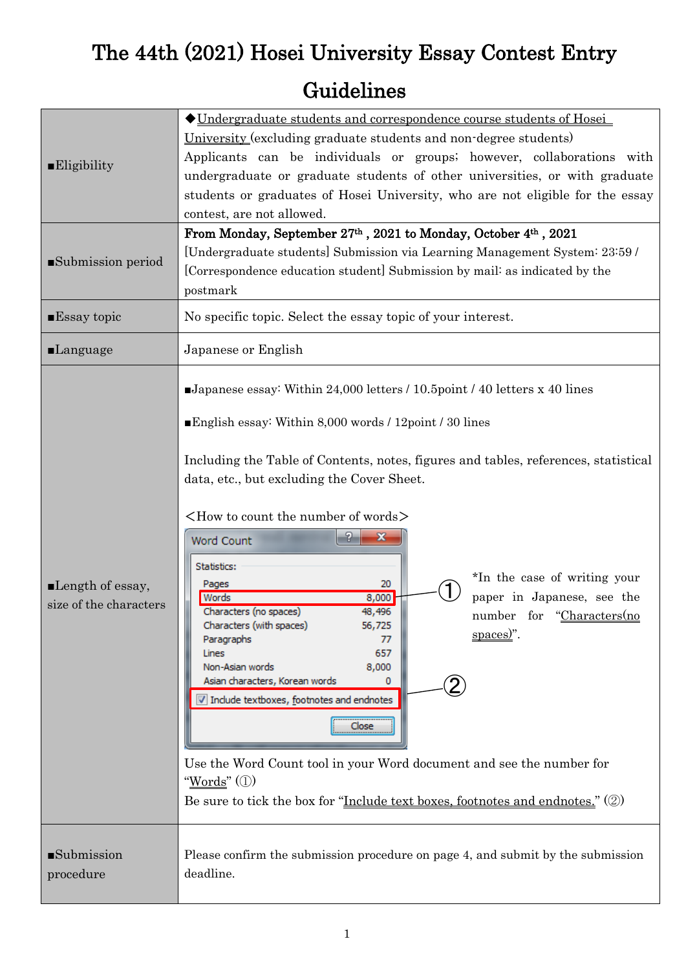# The 44th (2021) Hosei University Essay Contest Entry

## Guidelines

| $\blacksquare$ Eligibility                                | ◆ Undergraduate students and correspondence course students of Hosei<br>University (excluding graduate students and non-degree students)<br>Applicants can be individuals or groups; however, collaborations with<br>undergraduate or graduate students of other universities, or with graduate<br>students or graduates of Hosei University, who are not eligible for the essay<br>contest, are not allowed.                                                                                                                                                                                                                                                                                                                                                                                                                                                                                                                                                                       |  |  |
|-----------------------------------------------------------|-------------------------------------------------------------------------------------------------------------------------------------------------------------------------------------------------------------------------------------------------------------------------------------------------------------------------------------------------------------------------------------------------------------------------------------------------------------------------------------------------------------------------------------------------------------------------------------------------------------------------------------------------------------------------------------------------------------------------------------------------------------------------------------------------------------------------------------------------------------------------------------------------------------------------------------------------------------------------------------|--|--|
| Submission period                                         | From Monday, September 27th, 2021 to Monday, October 4th, 2021<br>[Undergraduate students] Submission via Learning Management System: 23:59 /<br>[Correspondence education student] Submission by mail: as indicated by the<br>postmark                                                                                                                                                                                                                                                                                                                                                                                                                                                                                                                                                                                                                                                                                                                                             |  |  |
| $\blacksquare$ Essay topic                                | No specific topic. Select the essay topic of your interest.                                                                                                                                                                                                                                                                                                                                                                                                                                                                                                                                                                                                                                                                                                                                                                                                                                                                                                                         |  |  |
| <b>Language</b>                                           | Japanese or English                                                                                                                                                                                                                                                                                                                                                                                                                                                                                                                                                                                                                                                                                                                                                                                                                                                                                                                                                                 |  |  |
| $\blacksquare$ Length of essay,<br>size of the characters | Japanese essay: Within 24,000 letters $/ 10.5$ point $/ 40$ letters x 40 lines<br>English essay: Within 8,000 words / 12 point / 30 lines<br>Including the Table of Contents, notes, figures and tables, references, statistical<br>data, etc., but excluding the Cover Sheet.<br>$\langle$ How to count the number of words $\rangle$<br>$\mathbf{x}$<br><b>Word Count</b><br>Statistics:<br>*In the case of writing your<br>20<br>Pages<br>paper in Japanese, see the<br>Words<br>8,000<br>Characters (no spaces)<br>48,496<br>number for "Characters(no<br>Characters (with spaces)<br>56,725<br>$space$ )".<br>Paragraphs<br>77<br>657<br>Lines<br>Non-Asian words<br>8,000<br>Asian characters, Korean words<br>0<br>Include textboxes, footnotes and endnotes<br>Close<br>Use the Word Count tool in your Word document and see the number for<br>" <u>Words</u> " (1)<br>Be sure to tick the box for " <u>Include text boxes, footnotes and endnotes.</u> " $\mathcal{O}(2)$ |  |  |
| <b>Submission</b><br>procedure                            | Please confirm the submission procedure on page 4, and submit by the submission<br>deadline.                                                                                                                                                                                                                                                                                                                                                                                                                                                                                                                                                                                                                                                                                                                                                                                                                                                                                        |  |  |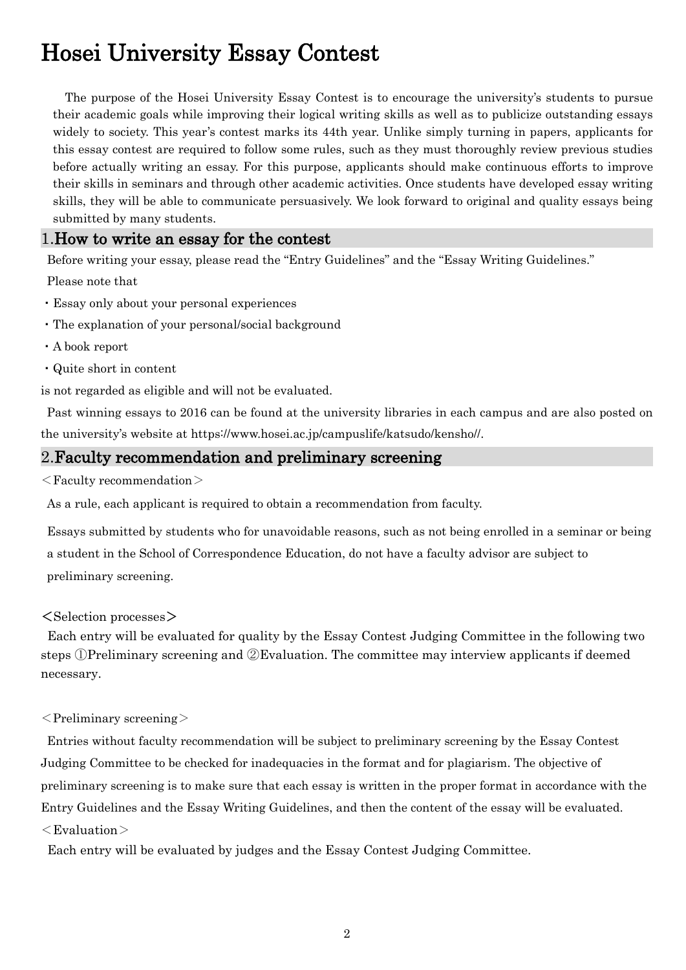## Hosei University Essay Contest

The purpose of the Hosei University Essay Contest is to encourage the university's students to pursue their academic goals while improving their logical writing skills as well as to publicize outstanding essays widely to society. This year's contest marks its 44th year. Unlike simply turning in papers, applicants for this essay contest are required to follow some rules, such as they must thoroughly review previous studies before actually writing an essay. For this purpose, applicants should make continuous efforts to improve their skills in seminars and through other academic activities. Once students have developed essay writing skills, they will be able to communicate persuasively. We look forward to original and quality essays being submitted by many students.

#### 1.How to write an essay for the contest

Before writing your essay, please read the "Entry Guidelines" and the "Essay Writing Guidelines."

Please note that

- ・Essay only about your personal experiences
- ・The explanation of your personal/social background
- ・A book report
- ・Quite short in content

is not regarded as eligible and will not be evaluated.

Past winning essays to 2016 can be found at the university libraries in each campus and are also posted on the university's website at https://www.hosei.ac.jp/campuslife/katsudo/kensho//.

#### 2.Faculty recommendation and preliminary screening

#### $\leq$  Faculty recommendation $>$

As a rule, each applicant is required to obtain a recommendation from faculty.

Essays submitted by students who for unavoidable reasons, such as not being enrolled in a seminar or being a student in the School of Correspondence Education, do not have a faculty advisor are subject to preliminary screening.

#### <Selection processes>

Each entry will be evaluated for quality by the Essay Contest Judging Committee in the following two steps ①Preliminary screening and ②Evaluation. The committee may interview applicants if deemed necessary.

#### $\leq$ Preliminary screening $>$

Entries without faculty recommendation will be subject to preliminary screening by the Essay Contest Judging Committee to be checked for inadequacies in the format and for plagiarism. The objective of preliminary screening is to make sure that each essay is written in the proper format in accordance with the Entry Guidelines and the Essay Writing Guidelines, and then the content of the essay will be evaluated.  $<$ Evaluation $>$ 

Each entry will be evaluated by judges and the Essay Contest Judging Committee.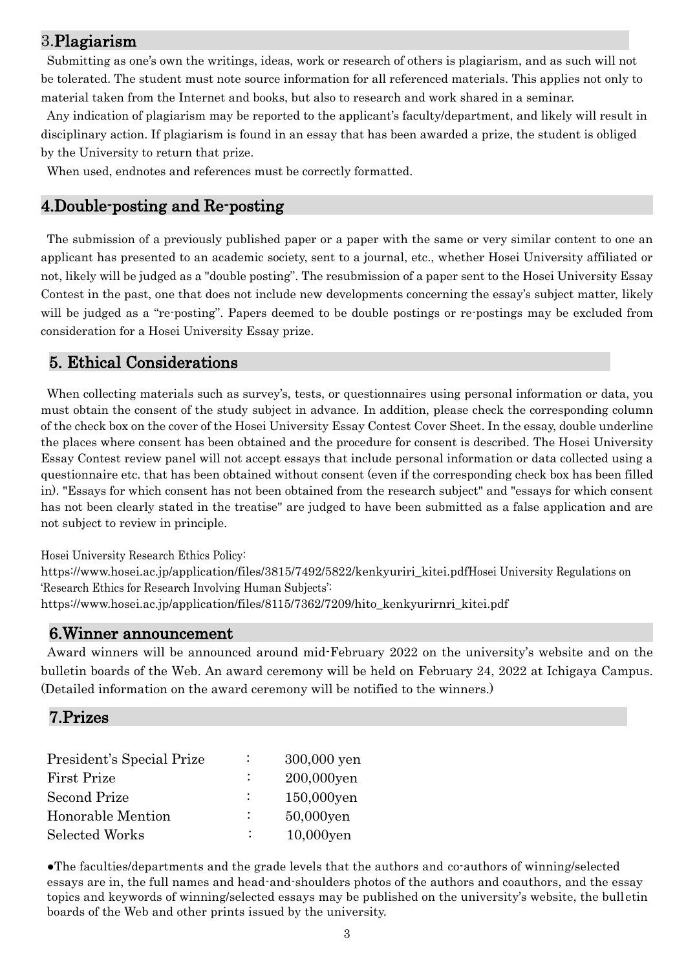## 3.Plagiarism

Submitting as one's own the writings, ideas, work or research of others is plagiarism, and as such will not be tolerated. The student must note source information for all referenced materials. This applies not only to material taken from the Internet and books, but also to research and work shared in a seminar.

Any indication of plagiarism may be reported to the applicant's faculty/department, and likely will result in disciplinary action. If plagiarism is found in an essay that has been awarded a prize, the student is obliged by the University to return that prize.

When used, endnotes and references must be correctly formatted.

### 4.Double-posting and Re-posting

The submission of a previously published paper or a paper with the same or very similar content to one an applicant has presented to an academic society, sent to a journal, etc., whether Hosei University affiliated or not, likely will be judged as a "double posting". The resubmission of a paper sent to the Hosei University Essay Contest in the past, one that does not include new developments concerning the essay's subject matter, likely will be judged as a "re-posting". Papers deemed to be double postings or re-postings may be excluded from consideration for a Hosei University Essay prize.

### 5. Ethical Considerations

When collecting materials such as survey's, tests, or questionnaires using personal information or data, you must obtain the consent of the study subject in advance. In addition, please check the corresponding column of the check box on the cover of the Hosei University Essay Contest Cover Sheet. In the essay, double underline the places where consent has been obtained and the procedure for consent is described. The Hosei University Essay Contest review panel will not accept essays that include personal information or data collected using a questionnaire etc. that has been obtained without consent (even if the corresponding check box has been filled in). "Essays for which consent has not been obtained from the research subject" and "essays for which consent has not been clearly stated in the treatise" are judged to have been submitted as a false application and are not subject to review in principle.

Hosei University Research Ethics Policy:

https://www.hosei.ac.jp/application/files/3815/7492/5822/kenkyuriri\_kitei.pdfHosei University Regulations on 'Research Ethics for Research Involving Human Subjects':

https://www.hosei.ac.jp/application/files/8115/7362/7209/hito\_kenkyurirnri\_kitei.pdf

#### 6.Winner announcement

Award winners will be announced around mid-February 2022 on the university's website and on the bulletin boards of the Web. An award ceremony will be held on February 24, 2022 at Ichigaya Campus. (Detailed information on the award ceremony will be notified to the winners.)

### 7.Prizes

| President's Special Prize | 300,000 yen  |
|---------------------------|--------------|
| <b>First Prize</b>        | 200,000yen   |
| <b>Second Prize</b>       | 150,000yen   |
| Honorable Mention         | 50,000yen    |
| Selected Works            | $10,000$ yen |

●The faculties/departments and the grade levels that the authors and co-authors of winning/selected essays are in, the full names and head-and-shoulders photos of the authors and coauthors, and the essay topics and keywords of winning/selected essays may be published on the university's website, the bulletin boards of the Web and other prints issued by the university.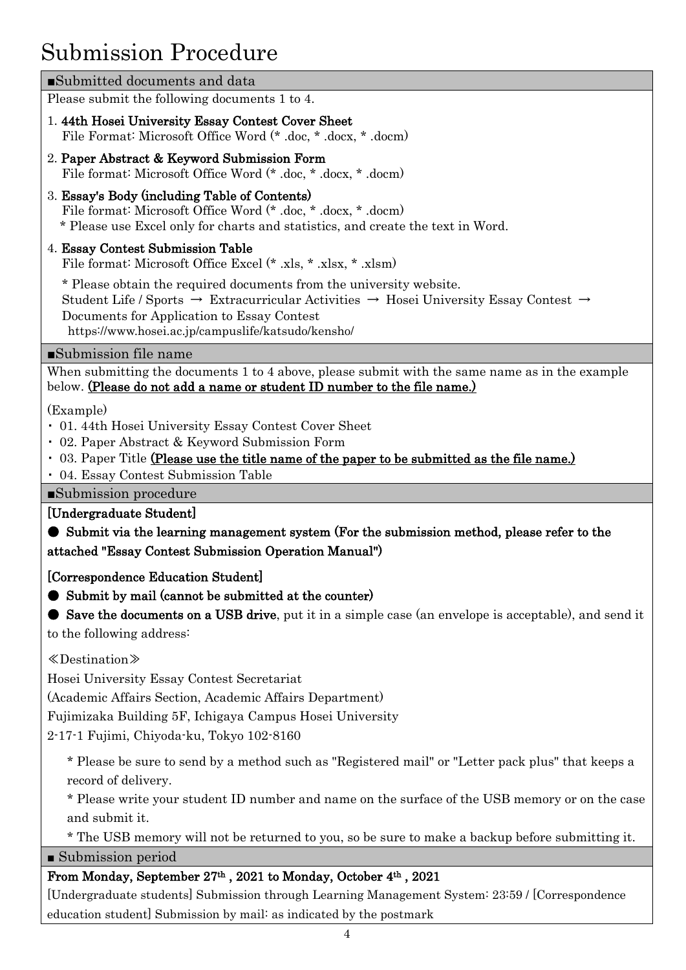## Submission Procedure

| Submitted documents and data                                                                                                                                                                                                                                                                         |  |  |
|------------------------------------------------------------------------------------------------------------------------------------------------------------------------------------------------------------------------------------------------------------------------------------------------------|--|--|
| Please submit the following documents 1 to 4.                                                                                                                                                                                                                                                        |  |  |
| 1.44th Hosei University Essay Contest Cover Sheet<br>File Format: Microsoft Office Word (* .doc, * .docx, * .docm)                                                                                                                                                                                   |  |  |
| 2. Paper Abstract & Keyword Submission Form<br>File format: Microsoft Office Word (* .doc, * .docx, * .docm)                                                                                                                                                                                         |  |  |
| 3. Essay's Body (including Table of Contents)<br>File format: Microsoft Office Word (* .doc, * .docx, * .docm)<br>* Please use Excel only for charts and statistics, and create the text in Word.                                                                                                    |  |  |
| 4. Essay Contest Submission Table<br>File format: Microsoft Office Excel (* .xls, * .xlsx, * .xlsm)                                                                                                                                                                                                  |  |  |
| * Please obtain the required documents from the university website.<br>Student Life / Sports $\rightarrow$ Extracurricular Activities $\rightarrow$ Hosei University Essay Contest $\rightarrow$<br>Documents for Application to Essay Contest<br>https://www.hosei.ac.jp/campuslife/katsudo/kensho/ |  |  |
| Submission file name                                                                                                                                                                                                                                                                                 |  |  |
| When submitting the documents 1 to 4 above, please submit with the same name as in the example<br>below. (Please do not add a name or student ID number to the file name.)                                                                                                                           |  |  |
| (Example)<br>• 01. 44th Hosei University Essay Contest Cover Sheet<br>• 02. Paper Abstract & Keyword Submission Form<br>• 03. Paper Title (Please use the title name of the paper to be submitted as the file name.)<br>• 04. Essay Contest Submission Table                                         |  |  |
| Submission procedure                                                                                                                                                                                                                                                                                 |  |  |
| [Undergraduate Student]                                                                                                                                                                                                                                                                              |  |  |
| Submit via the learning management system (For the submission method, please refer to the<br>attached "Essay Contest Submission Operation Manual")                                                                                                                                                   |  |  |
| [Correspondence Education Student]                                                                                                                                                                                                                                                                   |  |  |
| Submit by mail (cannot be submitted at the counter)                                                                                                                                                                                                                                                  |  |  |
| Save the documents on a USB drive, put it in a simple case (an envelope is acceptable), and send it<br>to the following address:                                                                                                                                                                     |  |  |
| $\langle$ Destination $\rangle$                                                                                                                                                                                                                                                                      |  |  |
| Hosei University Essay Contest Secretariat                                                                                                                                                                                                                                                           |  |  |
| (Academic Affairs Section, Academic Affairs Department)                                                                                                                                                                                                                                              |  |  |
| Fujimizaka Building 5F, Ichigaya Campus Hosei University                                                                                                                                                                                                                                             |  |  |
| 2-17-1 Fujimi, Chiyoda-ku, Tokyo 102-8160                                                                                                                                                                                                                                                            |  |  |
| * Please be sure to send by a method such as "Registered mail" or "Letter pack plus" that keeps a                                                                                                                                                                                                    |  |  |
| record of delivery.                                                                                                                                                                                                                                                                                  |  |  |
| * Please write your student ID number and name on the surface of the USB memory or on the case<br>and submit it.                                                                                                                                                                                     |  |  |
| * The USB memory will not be returned to you, so be sure to make a backup before submitting it.                                                                                                                                                                                                      |  |  |
|                                                                                                                                                                                                                                                                                                      |  |  |

■ Submission period

## From Monday, September 27th , 2021 to Monday, October 4th , 2021

[Undergraduate students] Submission through Learning Management System: 23:59 / [Correspondence education student] Submission by mail: as indicated by the postmark